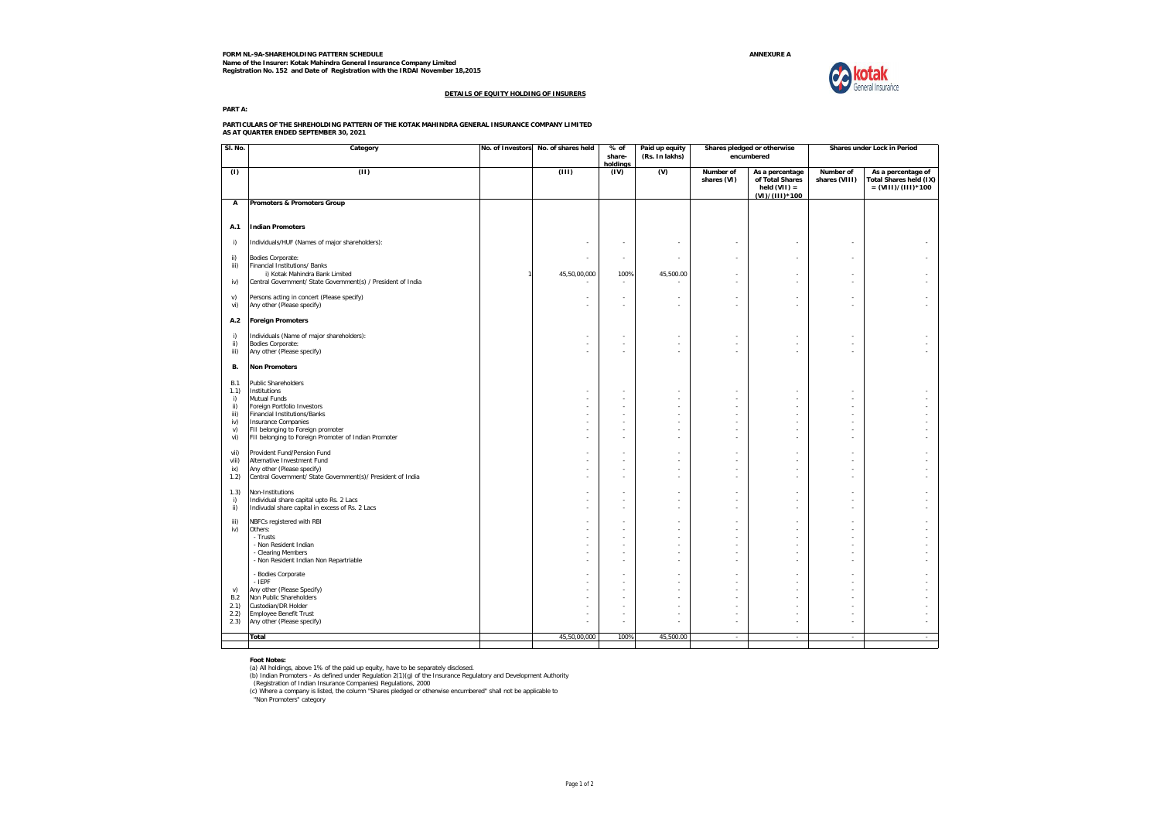**FORM NL-9A-SHAREHOLDING PATTERN SCHEDULE ANNEXURE A Name of the Insurer: Kotak Mahindra General Insurance Company Limited Registration No. 152 and Date of Registration with the IRDAI November 18,2015**



#### **DETAILS OF EQUITY HOLDING OF INSURERS**

**PART A:**

**PARTICULARS OF THE SHREHOLDING PATTERN OF THE KOTAK MAHINDRA GENERAL INSURANCE COMPANY LIMITED AS AT QUARTER ENDED SEPTEMBER 30, 2021**

| SI. No.                                                     | Category                                                                                                                                                                                                                                             | No. of Investors | No. of shares held | % of<br>share-<br>holdinas | Paid up equity<br>(Rs. In lakhs) | Shares pledged or otherwise<br>encumbered |                                                                        | Shares under Lock in Period     |                                                                             |
|-------------------------------------------------------------|------------------------------------------------------------------------------------------------------------------------------------------------------------------------------------------------------------------------------------------------------|------------------|--------------------|----------------------------|----------------------------------|-------------------------------------------|------------------------------------------------------------------------|---------------------------------|-----------------------------------------------------------------------------|
| (1)                                                         | (11)                                                                                                                                                                                                                                                 |                  | (111)              | (IV)                       | (V)                              | Number of<br>shares (VI)                  | As a percentage<br>of Total Shares<br>held $(VII)$ =<br>(VI)/(III)*100 | Number of<br>shares (VIII)      | As a percentage of<br><b>Total Shares held (IX)</b><br>$= (VIII)/(III)*100$ |
| А                                                           | Promoters & Promoters Group                                                                                                                                                                                                                          |                  |                    |                            |                                  |                                           |                                                                        |                                 |                                                                             |
| A.1                                                         | <b>Indian Promoters</b>                                                                                                                                                                                                                              |                  |                    |                            |                                  |                                           |                                                                        |                                 |                                                                             |
| i)                                                          | Individuals/HUF (Names of major shareholders):                                                                                                                                                                                                       |                  |                    | ٠                          | ٠                                | ٠                                         |                                                                        | $\overline{\phantom{a}}$        | ٠                                                                           |
| ii)<br>iii)                                                 | Bodies Corporate:<br>Financial Institutions/ Banks<br>i) Kotak Mahindra Bank Limited                                                                                                                                                                 |                  | ٠<br>45,50,00,000  | ٠<br>100%                  | ٠<br>45.500.00                   | ٠                                         | $\sim$                                                                 | $\sim$                          | ×.                                                                          |
| iv)                                                         | Central Government/ State Government(s) / President of India                                                                                                                                                                                         |                  |                    | $\mathbf{r}$               |                                  | ×.                                        | - 1                                                                    | $\sim$                          | ÷.                                                                          |
| v)<br>vi)                                                   | Persons acting in concert (Please specify)<br>Any other (Please specify)                                                                                                                                                                             |                  | ×,<br>٠            | ×,<br>٠                    | ×,<br>٠                          | ×<br>٠                                    |                                                                        | ÷                               |                                                                             |
| A.2                                                         | <b>Foreign Promoters</b>                                                                                                                                                                                                                             |                  |                    |                            |                                  |                                           |                                                                        |                                 |                                                                             |
| i)<br>ii)<br>iii)                                           | Individuals (Name of major shareholders):<br>Bodies Corporate:<br>Any other (Please specify)                                                                                                                                                         |                  | ٠                  | ٠<br>٠                     | ٠<br>٠                           | ٠<br>٠                                    | ٠                                                                      |                                 |                                                                             |
| В.                                                          | <b>Non Promoters</b>                                                                                                                                                                                                                                 |                  |                    |                            |                                  |                                           |                                                                        |                                 |                                                                             |
| <b>B.1</b><br>1.1)<br>i)<br>ii)<br>iii)<br>iv)<br>v)<br>vi) | <b>Public Shareholders</b><br>Institutions<br>Mutual Funds<br>Foreign Portfolio Investors<br><b>Financial Institutions/Banks</b><br>Insurance Companies<br>FII belonging to Foreign promoter<br>FII belonging to Foreign Promoter of Indian Promoter |                  | ٠<br>٠<br>٠<br>٠   | ٠<br>÷.<br>×<br>×<br>×     | ٠<br>٠<br>×,<br>٠<br>٠           | ٠<br>٠<br>÷.<br>٠<br>٠                    | ٠<br>÷<br>÷.<br>$\sim$<br>. п.                                         | $\sim$<br>$\sim$<br>÷<br>$\sim$ | ×.                                                                          |
| vii)<br>viii)<br>ix)<br>1.2)                                | Provident Fund/Pension Fund<br>Alternative Investment Fund<br>Any other (Please specify)<br>Central Government/ State Government(s)/ President of India                                                                                              |                  | ٠                  | ×<br>٠<br>×                | ٠<br>٠<br>×,                     | ٠<br>×,                                   | $\sim$<br>$\sim$<br>i.                                                 | $\sim$<br>÷                     |                                                                             |
| 1.3)<br>i)<br>ii)                                           | Non-Institutions<br>Individual share capital upto Rs. 2 Lacs<br>Indivudal share capital in excess of Rs. 2 Lacs                                                                                                                                      |                  |                    | ×                          | ×,<br>٠<br>×,                    | ٠<br>٠                                    | ٠                                                                      | $\sim$                          |                                                                             |
| iii)<br>iv)                                                 | NBFCs registered with RBI<br>Others:<br>- Trusts<br>- Non Resident Indian<br>- Clearing Members<br>- Non Resident Indian Non Repartriable                                                                                                            |                  |                    | ٠<br>×<br>٠<br>×           | ٠<br>×<br>×                      | ٠<br>×                                    | $\sim$<br>- 1<br>÷                                                     | $\sim$<br>$\sim$                |                                                                             |
| v)<br><b>B.2</b><br>2.1)<br>2.2)<br>2.3)                    | - Bodies Corporate<br>- IEPF<br>Any other (Please Specify)<br>Non Public Shareholders<br>Custodian/DR Holder<br><b>Employee Benefit Trust</b><br>Any other (Please specify)                                                                          |                  | ٠                  | ٠<br>×<br>٠<br>×,          | ×,<br>٠<br>×<br>٠<br>٠           | ٠<br>٠                                    | ÷<br>÷.                                                                | $\sim$                          | ٠                                                                           |
|                                                             | Total                                                                                                                                                                                                                                                |                  | 45,50,00,000       | 100%                       | 45,500.00                        | $\sim$                                    | $\sim$                                                                 | $\sim$                          | ×                                                                           |
|                                                             |                                                                                                                                                                                                                                                      |                  |                    |                            |                                  |                                           |                                                                        |                                 |                                                                             |

Foot Notes:<br>(a) All holdings, above 1% of the paid up equity, have to be separately disclosed.<br>(b) Indian Promoters - As defined under Regulation 2(1)(g) of the Insurance Regulatory and Development Authority<br>(Registration